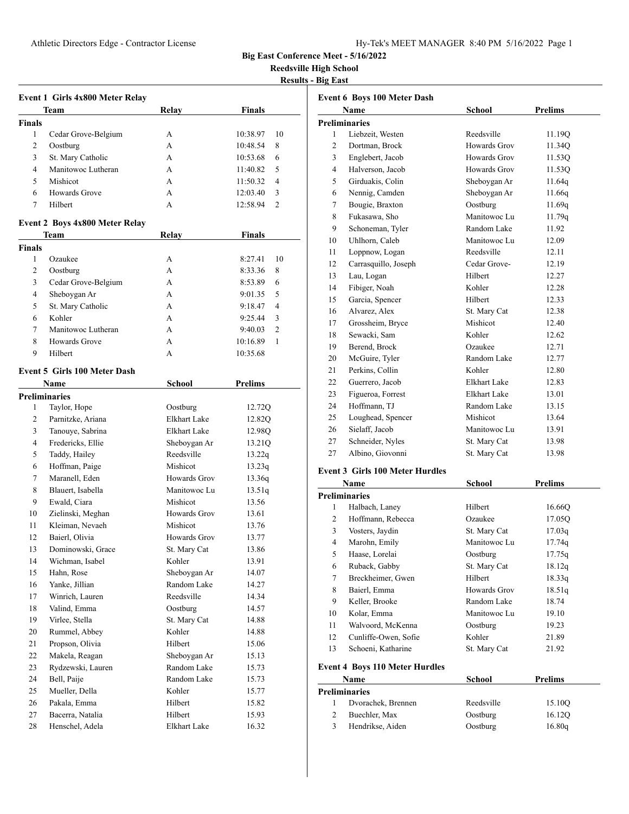**Reedsville High School**

# **Results - Big East**

|                      | Event 1 Girls 4x800 Meter Relay               |                     |                    |
|----------------------|-----------------------------------------------|---------------------|--------------------|
|                      | Team                                          | Relay               | <b>Finals</b>      |
| <b>Finals</b>        |                                               |                     |                    |
| 1                    | Cedar Grove-Belgium                           | A                   | 10<br>10:38.97     |
| 2                    | Oostburg                                      | А                   | 10:48.54<br>8      |
| 3                    | St. Mary Catholic                             | A                   | 10:53.68<br>6      |
| 4                    | Manitowoc Lutheran                            | А                   | 11:40.82<br>5      |
| 5                    | Mishicot                                      | А                   | 11:50.32<br>4      |
| 6                    | Howards Grove                                 | A                   | 12:03.40<br>3      |
| 7                    | Hilbert                                       | А                   | 12:58.94<br>2      |
|                      |                                               |                     |                    |
|                      | <b>Event 2 Boys 4x800 Meter Relay</b><br>Team | Relay               | Finals             |
| Finals               |                                               |                     |                    |
| 1                    | Ozaukee                                       | A                   | 10<br>8:27.41      |
| 2                    |                                               | A                   | 8                  |
| 3                    | Oostburg                                      | А                   | 8:33.36<br>6       |
| 4                    | Cedar Grove-Belgium                           |                     | 8:53.89<br>9:01.35 |
|                      | Sheboygan Ar                                  | А                   | 5<br>4             |
| 5                    | St. Mary Catholic<br>Kohler                   | А                   | 9:18.47            |
| 6                    |                                               | A                   | 3<br>9:25.44       |
| 7                    | Manitowoc Lutheran                            | А                   | 2<br>9:40.03       |
| 8                    | <b>Howards Grove</b>                          | A                   | 1<br>10:16.89      |
| 9                    | Hilbert                                       | А                   | 10:35.68           |
|                      | <b>Event 5 Girls 100 Meter Dash</b>           |                     |                    |
|                      | Name                                          | School              | <b>Prelims</b>     |
| <b>Preliminaries</b> |                                               |                     |                    |
| 1                    | Taylor, Hope                                  | Oostburg            | 12.72Q             |
| 2                    | Parnitzke, Ariana                             | <b>Elkhart Lake</b> | 12.82Q             |
| 3                    | Tanouye, Sabrina                              | Elkhart Lake        | 12.98Q             |
| 4                    | Fredericks, Ellie                             | Sheboygan Ar        | 13.21Q             |
| 5                    | Taddy, Hailey                                 | Reedsville          | 13.22q             |
| 6                    | Hoffman, Paige                                | Mishicot            | 13.23q             |
| 7                    | Maranell, Eden                                | Howards Grov        | 13.36q             |
| 8                    | Blauert, Isabella                             | Manitowoc Lu        | 13.51q             |
| 9                    | Ewald, Ciara                                  | Mishicot            | 13.56              |
| 10                   | Zielinski, Meghan                             | Howards Grov        | 13.61              |
| 11                   | Kleiman, Nevaeh                               | Mishicot            | 13.76              |
| 12                   | Baierl, Olivia                                | Howards Grov        | 13.77              |
| 13                   | Dominowski, Grace                             | St. Mary Cat        | 13.86              |
| 14                   | Wichman, Isabel                               | Kohler              | 13.91              |
| 15                   | Hahn, Rose                                    | Sheboygan Ar        | 14.07              |
| 16                   | Yanke, Jillian                                | Random Lake         | 14.27              |
| 17                   | Winrich, Lauren                               | Reedsville          | 14.34              |
| 18                   | Valind, Emma                                  | Oostburg            | 14.57              |
| 19                   | Virlee, Stella                                | St. Mary Cat        | 14.88              |
| 20                   | Rummel, Abbey                                 | Kohler              | 14.88              |
| 21                   | Propson, Olivia                               | Hilbert             | 15.06              |
| 22                   | Makela, Reagan                                | Sheboygan Ar        | 15.13              |
| 23                   | Rydzewski, Lauren                             | Random Lake         | 15.73              |
| 24                   | Bell, Paije                                   | Random Lake         | 15.73              |
| 25                   | Mueller, Della                                | Kohler              | 15.77              |
| 26                   | Pakala, Emma                                  | Hilbert             | 15.82              |
| 27                   | Bacerra, Natalia                              | Hilbert             | 15.93              |
| 28                   | Henschel, Adela                               | Elkhart Lake        | 16.32              |

| <b>Event 6 Boys 100 Meter Dash</b> |                      |               |                |  |  |  |  |
|------------------------------------|----------------------|---------------|----------------|--|--|--|--|
|                                    | Name                 | <b>School</b> | <b>Prelims</b> |  |  |  |  |
|                                    | <b>Preliminaries</b> |               |                |  |  |  |  |
| 1                                  | Liebzeit, Westen     | Reedsville    | 11.19Q         |  |  |  |  |
| 2                                  | Dortman, Brock       | Howards Grov  | 11.34Q         |  |  |  |  |
| 3                                  | Englebert, Jacob     | Howards Grov  | 11.53Q         |  |  |  |  |
| $\overline{4}$                     | Halverson, Jacob     | Howards Grov  | 11.53Q         |  |  |  |  |
| 5                                  | Girduakis, Colin     | Sheboygan Ar  | 11.64q         |  |  |  |  |
| 6                                  | Nennig, Camden       | Sheboygan Ar  | 11.66q         |  |  |  |  |
| 7                                  | Bougie, Braxton      | Oostburg      | 11.69q         |  |  |  |  |
| 8                                  | Fukasawa, Sho        | Manitowoc Lu  | 11.79q         |  |  |  |  |
| 9                                  | Schoneman, Tyler     | Random Lake   | 11.92          |  |  |  |  |
| 10                                 | Uhlhorn, Caleb       | Manitowoc Lu  | 12.09          |  |  |  |  |
| 11                                 | Loppnow, Logan       | Reedsville    | 12.11          |  |  |  |  |
| 12                                 | Carrasquillo, Joseph | Cedar Grove-  | 12.19          |  |  |  |  |
| 13                                 | Lau, Logan           | Hilbert       | 12.27          |  |  |  |  |
| 14                                 | Fibiger, Noah        | Kohler        | 12.28          |  |  |  |  |
| 15                                 | Garcia, Spencer      | Hilbert       | 12.33          |  |  |  |  |
| 16                                 | Alvarez, Alex        | St. Mary Cat  | 12.38          |  |  |  |  |
| 17                                 | Grossheim, Bryce     | Mishicot      | 12.40          |  |  |  |  |
| 18                                 | Sewacki, Sam         | Kohler        | 12.62          |  |  |  |  |
| 19                                 | Berend, Brock        | Ozaukee       | 12.71          |  |  |  |  |
| 20                                 | McGuire, Tyler       | Random Lake   | 12.77          |  |  |  |  |
| 21                                 | Perkins, Collin      | Kohler        | 12.80          |  |  |  |  |
| 22                                 | Guerrero, Jacob      | Elkhart Lake  | 12.83          |  |  |  |  |
| 23                                 | Figueroa, Forrest    | Elkhart Lake  | 13.01          |  |  |  |  |
| 24                                 | Hoffmann, TJ         | Random Lake   | 13.15          |  |  |  |  |
| 25                                 | Loughead, Spencer    | Mishicot      | 13.64          |  |  |  |  |
| 26                                 | Sielaff, Jacob       | Manitowoc Lu  | 13.91          |  |  |  |  |
| 27                                 | Schneider, Nyles     | St. Mary Cat  | 13.98          |  |  |  |  |
| 27                                 | Albino, Giovonni     | St. Mary Cat  | 13.98          |  |  |  |  |
|                                    |                      |               |                |  |  |  |  |

## **Event 3 Girls 100 Meter Hurdles**

|      | Name                                  | School       | Prelims |  |
|------|---------------------------------------|--------------|---------|--|
|      | <b>Preliminaries</b>                  |              |         |  |
| 1    | Halbach, Laney                        | Hilbert      | 16.660  |  |
| 2    | Hoffmann, Rebecca                     | Ozaukee      | 17.05Q  |  |
| 3    | Vosters, Jaydin                       | St. Mary Cat | 17.03q  |  |
| 4    | Marohn, Emily                         | Manitowoc Lu | 17.74q  |  |
| 5    | Haase, Lorelai                        | Oostburg     | 17.75q  |  |
| 6    | Ruback, Gabby                         | St. Mary Cat | 18.12q  |  |
| 7    | Breckheimer, Gwen                     | Hilbert      | 18.33q  |  |
| 8    | Baierl, Emma                          | Howards Grov | 18.51q  |  |
| 9    | Keller, Brooke                        | Random Lake  | 18.74   |  |
| 10   | Kolar, Emma                           | Manitowoc Lu | 19.10   |  |
| 11   | Walvoord, McKenna                     | Oostburg     | 19.23   |  |
| 12   | Cunliffe-Owen, Sofie                  | Kohler       | 21.89   |  |
| 13   | Schoeni, Katharine                    | St. Mary Cat | 21.92   |  |
|      | <b>Event 4 Boys 110 Meter Hurdles</b> |              |         |  |
| Name |                                       | School       | Prelims |  |
|      | <b>Preliminaries</b>                  |              |         |  |
| 1    | Dvorachek, Brennen                    | Reedsville   | 15.10Q  |  |
| 2    | Buechler, Max                         | Oostburg     | 16.120  |  |

Hendrikse, Aiden Oostburg 16.80q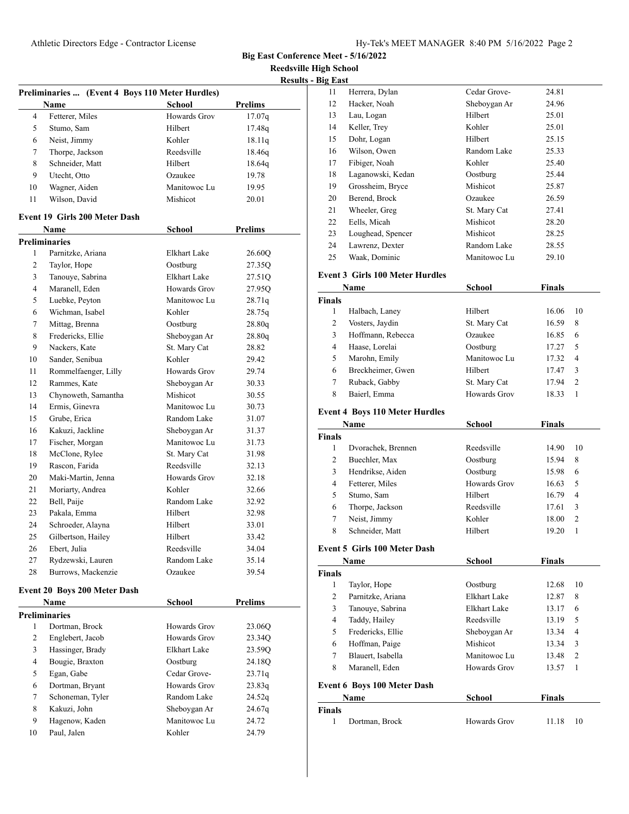**Reedsville High School**

**Results - Big East**

|    |                                                         |                     | <u>Kesults</u> |
|----|---------------------------------------------------------|---------------------|----------------|
|    | Preliminaries  (Event 4 Boys 110 Meter Hurdles)<br>Name | School              | <b>Prelims</b> |
| 4  | Fetterer, Miles                                         | Howards Grov        | 17.07q         |
| 5  | Stumo, Sam                                              | Hilbert             | 17.48q         |
| 6  | Neist, Jimmy                                            | Kohler              | 18.11q         |
| 7  | Thorpe, Jackson                                         | Reedsville          | 18.46q         |
| 8  | Schneider, Matt                                         | Hilbert             | 18.64q         |
| 9  | Utecht, Otto                                            | Ozaukee             | 19.78          |
| 10 | Wagner, Aiden                                           | Manitowoc Lu        | 19.95          |
| 11 | Wilson, David                                           | Mishicot            | 20.01          |
|    | Event 19 Girls 200 Meter Dash                           |                     |                |
|    | Name                                                    | <b>School</b>       | <b>Prelims</b> |
|    | <b>Preliminaries</b>                                    |                     |                |
| 1  | Parnitzke, Ariana                                       | Elkhart Lake        | 26.60Q         |
| 2  | Taylor, Hope                                            | Oostburg            | 27.35Q         |
| 3  | Tanouye, Sabrina                                        | <b>Elkhart Lake</b> | 27.51Q         |
| 4  | Maranell, Eden                                          | Howards Grov        | 27.95Q         |
| 5  | Luebke, Peyton                                          | Manitowoc Lu        | 28.71q         |
| 6  | Wichman, Isabel                                         | Kohler              | 28.75q         |
| 7  | Mittag, Brenna                                          | Oostburg            | 28.80q         |
| 8  | Fredericks, Ellie                                       | Sheboygan Ar        | 28.80q         |
| 9  | Nackers, Kate                                           | St. Mary Cat        | 28.82          |
| 10 | Sander, Senibua                                         | Kohler              | 29.42          |
| 11 | Rommelfaenger, Lilly                                    | Howards Grov        | 29.74          |
| 12 | Rammes, Kate                                            | Sheboygan Ar        | 30.33          |
| 13 | Chynoweth, Samantha                                     | Mishicot            | 30.55          |
| 14 | Ermis, Ginevra                                          | Manitowoc Lu        | 30.73          |
| 15 | Grube, Erica                                            | Random Lake         | 31.07          |
| 16 | Kakuzi, Jackline                                        | Sheboygan Ar        | 31.37          |
| 17 | Fischer, Morgan                                         | Manitowoc Lu        | 31.73          |
| 18 | McClone, Rylee                                          | St. Mary Cat        | 31.98          |
| 19 | Rascon, Farida                                          | Reedsville          | 32.13          |
| 20 | Maki-Martin, Jenna                                      | Howards Grov        | 32.18          |
| 21 | Moriarty, Andrea                                        | Kohler              | 32.66          |
| 22 | Bell, Paije                                             | Random Lake         | 32.92          |
| 23 | Pakala, Emma                                            | Hilbert             | 32.98          |
| 24 | Schroeder, Alayna                                       | Hilbert             | 33.01          |
| 25 | Gilbertson, Hailey                                      | Hilbert             | 33.42          |
| 26 | Ebert, Julia                                            | Reedsville          | 34.04          |
| 27 | Rydzewski, Lauren                                       | Random Lake         | 35.14          |
| 28 | Burrows, Mackenzie                                      | Ozaukee             | 39.54          |
|    | Event 20 Boys 200 Meter Dash                            |                     |                |
|    | Name                                                    | School              | Prelims        |
| 1  | <b>Preliminaries</b><br>Dortman, Brock                  | Howards Grov        |                |
|    |                                                         |                     | 23.06Q         |
| 2  | Englebert, Jacob                                        | Howards Grov        | 23.34Q         |
| 3  | Hassinger, Brady                                        | Elkhart Lake        | 23.59Q         |
| 4  | Bougie, Braxton                                         | Oostburg            | 24.18Q         |
| 5  | Egan, Gabe                                              | Cedar Grove-        | 23.71q         |
| 6  | Dortman, Bryant                                         | Howards Grov        | 23.83q         |
| 7  | Schoneman, Tyler                                        | Random Lake         | 24.52q         |
| 8  | Kakuzi, John                                            | Sheboygan Ar        | 24.67q         |
| 9  | Hagenow, Kaden                                          | Manitowoc Lu        | 24.72          |
| 10 | Paul, Jalen                                             | Kohler              | 24.79          |

|    | g East            |              |       |  |  |
|----|-------------------|--------------|-------|--|--|
| 11 | Herrera, Dylan    | Cedar Grove- | 24.81 |  |  |
| 12 | Hacker, Noah      | Sheboygan Ar | 24.96 |  |  |
| 13 | Lau, Logan        | Hilbert      | 25.01 |  |  |
| 14 | Keller, Trey      | Kohler       | 25.01 |  |  |
| 15 | Dohr, Logan       | Hilbert      | 25.15 |  |  |
| 16 | Wilson, Owen      | Random Lake  | 25.33 |  |  |
| 17 | Fibiger, Noah     | Kohler       | 25.40 |  |  |
| 18 | Laganowski, Kedan | Oostburg     | 25.44 |  |  |
| 19 | Grossheim, Bryce  | Mishicot     | 25.87 |  |  |
| 20 | Berend, Brock     | Ozaukee      | 26.59 |  |  |
| 21 | Wheeler, Greg     | St. Mary Cat | 27.41 |  |  |
| 22 | Eells, Micah      | Mishicot     | 28.20 |  |  |
| 23 | Loughead, Spencer | Mishicot     | 28.25 |  |  |
| 24 | Lawrenz, Dexter   | Random Lake  | 28.55 |  |  |
| 25 | Waak, Dominic     | Manitowoc Lu | 29.10 |  |  |

# **Event 3 Girls 100 Meter Hurdles**

| Name          |                   | School       | <b>Finals</b> |                |
|---------------|-------------------|--------------|---------------|----------------|
| <b>Finals</b> |                   |              |               |                |
|               | Halbach, Laney    | Hilbert      | 16.06         | 10             |
| 2             | Vosters, Jaydin   | St. Mary Cat | 16.59         | 8              |
| 3             | Hoffmann, Rebecca | Ozaukee      | 16.85         | 6              |
| 4             | Haase, Lorelai    | Oostburg     | 17.27         | 5              |
| 5             | Marohn, Emily     | Manitowoc Lu | 17.32         | $\overline{4}$ |
| 6             | Breckheimer, Gwen | Hilbert      | 17.47         | 3              |
| 7             | Ruback, Gabby     | St. Mary Cat | 17.94         | $\overline{2}$ |
| 8             | Baierl, Emma      | Howards Grov | 18.33         |                |
|               |                   |              |               |                |

# **Event 4 Boys 110 Meter Hurdles**

| Name          |                    | <b>School</b> | <b>Finals</b> |                |
|---------------|--------------------|---------------|---------------|----------------|
| <b>Finals</b> |                    |               |               |                |
|               | Dvorachek, Brennen | Reedsville    | 14.90         | 10             |
| 2             | Buechler, Max      | Oostburg      | 15.94         | 8              |
| 3             | Hendrikse, Aiden   | Oostburg      | 15.98         | 6              |
| 4             | Fetterer, Miles    | Howards Grov  | 16.63         | .5             |
| 5             | Stumo, Sam         | Hilbert       | 16.79         | 4              |
| 6             | Thorpe, Jackson    | Reedsville    | 17.61         | 3              |
| 7             | Neist, Jimmy       | Kohler        | 18.00         | $\overline{2}$ |
| 8             | Schneider, Matt    | Hilbert       | 19.20         |                |

# **Event 5 Girls 100 Meter Dash**

| Name   |                                    | <b>School</b> | <b>Finals</b> |                |
|--------|------------------------------------|---------------|---------------|----------------|
| Finals |                                    |               |               |                |
| 1      | Taylor, Hope                       | Oostburg      | 12.68         | 10             |
| 2      | Parnitzke, Ariana                  | Elkhart Lake  | 12.87         | 8              |
| 3      | Tanouye, Sabrina                   | Elkhart Lake  | 13.17         | 6              |
| 4      | Taddy, Hailey                      | Reedsville    | 13.19         | 5              |
| 5      | Fredericks, Ellie                  | Sheboygan Ar  | 13.34         | 4              |
| 6      | Hoffman, Paige                     | Mishicot      | 13.34         | 3              |
| 7      | Blauert, Isabella                  | Manitowoc Lu  | 13.48         | $\overline{c}$ |
| 8      | Maranell, Eden                     | Howards Grov  | 13.57         | 1              |
|        | <b>Event 6 Boys 100 Meter Dash</b> |               |               |                |
| Name   |                                    | School        | <b>Finals</b> |                |
| Finals |                                    |               |               |                |

| Finals |                |              |       |     |
|--------|----------------|--------------|-------|-----|
|        | Dortman, Brock | Howards Grov | 11.18 | -10 |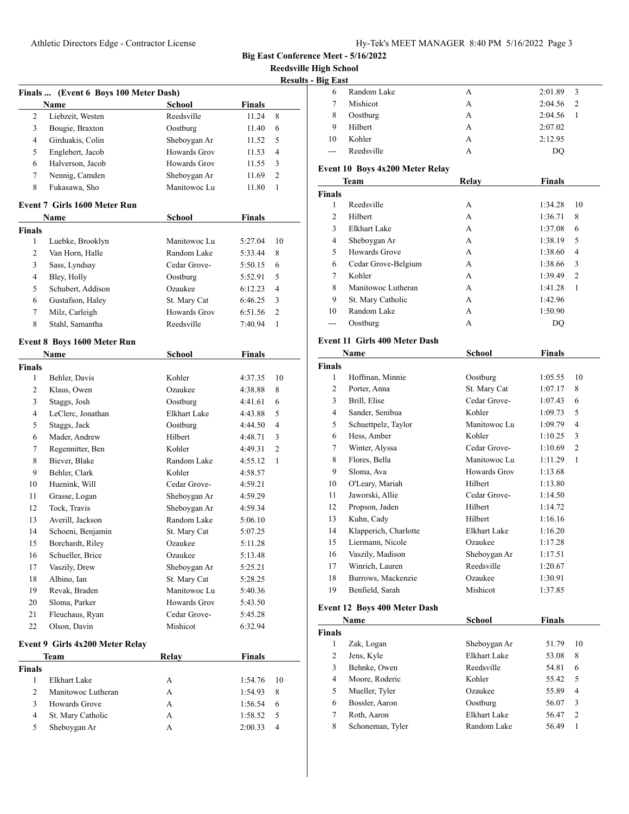**Reedsville High School**

| 2<br>3<br>$\overline{4}$<br>5<br>6<br>7 | Name<br>Liebzeit, Westen<br>Bougie, Braxton | School              | <b>Finals</b> |                |
|-----------------------------------------|---------------------------------------------|---------------------|---------------|----------------|
|                                         |                                             |                     |               |                |
|                                         |                                             | Reedsville          | 11.24         | 8              |
|                                         |                                             | Oostburg            | 11.40         | 6              |
|                                         | Girduakis, Colin                            | Sheboygan Ar        | 11.52         | 5              |
|                                         | Englebert, Jacob                            | Howards Grov        | 11.53         | $\overline{4}$ |
|                                         | Halverson, Jacob                            | <b>Howards Grov</b> | 11.55         | 3              |
|                                         | Nennig, Camden                              | Sheboygan Ar        | 11.69         | $\overline{c}$ |
| 8                                       | Fukasawa, Sho                               | Manitowoc Lu        | 11.80         | $\mathbf{1}$   |
|                                         | <b>Event 7 Girls 1600 Meter Run</b>         |                     |               |                |
|                                         | Name                                        | <b>School</b>       | <b>Finals</b> |                |
| <b>Finals</b>                           |                                             |                     |               |                |
| 1                                       | Luebke, Brooklyn                            | Manitowoc Lu        | 5:27.04       | 10             |
| 2                                       | Van Horn, Halle                             | Random Lake         | 5:33.44       | 8              |
| 3                                       | Sass, Lyndsay                               | Cedar Grove-        | 5:50.15       | 6              |
| $\overline{4}$                          | Bley, Holly                                 | Oostburg            | 5:52.91       | 5              |
| 5                                       | Schubert, Addison                           | Ozaukee             | 6:12.23       | $\overline{4}$ |
| 6                                       | Gustafson, Haley                            | St. Mary Cat        | 6:46.25       | 3              |
| 7                                       | Milz, Carleigh                              | <b>Howards Grov</b> | 6:51.56       | $\overline{c}$ |
| 8                                       | Stahl, Samantha                             | Reedsville          | 7:40.94       | $\mathbf{1}$   |
|                                         |                                             |                     |               |                |
|                                         | Event 8 Boys 1600 Meter Run                 |                     |               |                |
|                                         | Name                                        | <b>School</b>       | <b>Finals</b> |                |
| <b>Finals</b>                           |                                             |                     |               |                |
| 1                                       | Behler, Davis                               | Kohler              | 4:37.35       | 10             |
| 2                                       | Klaus, Owen                                 | Ozaukee             | 4:38.88       | 8              |
| 3                                       | Staggs, Josh                                | Oostburg            | 4:41.61       | 6              |
| $\overline{4}$                          | LeClerc, Jonathan                           | <b>Elkhart Lake</b> | 4:43.88       | 5              |
| 5                                       | Staggs, Jack                                | Oostburg            | 4:44.50       | 4              |
| 6                                       | Mader, Andrew                               | Hilbert             | 4:48.71       | 3              |
| 7                                       | Regennitter, Ben                            | Kohler              | 4:49.31       | $\overline{c}$ |
| 8                                       | Biever, Blake                               | Random Lake         | 4:55.12       | 1              |
| 9                                       | Behler, Clark                               | Kohler              | 4:58.57       |                |
| 10                                      | Huenink, Will                               | Cedar Grove-        | 4:59.21       |                |
| 11                                      | Grasse, Logan                               | Sheboygan Ar        | 4:59.29       |                |
| 12                                      | Tock, Travis                                | Sheboygan Ar        | 4:59.34       |                |
| 13                                      | Averill, Jackson                            | Random Lake         | 5:06.10       |                |
| 14                                      | Schoeni, Benjamin                           | St. Mary Cat        | 5:07.25       |                |
| 15                                      | Borchardt, Riley                            | Ozaukee             | 5:11.28       |                |
| 16                                      | Schueller, Brice                            | Ozaukee             | 5:13.48       |                |
| 17                                      | Vaszily, Drew                               | Sheboygan Ar        | 5:25.21       |                |
| 18                                      | Albino, Ian                                 | St. Mary Cat        | 5:28.25       |                |
| 19                                      | Revak, Braden                               | Manitowoc Lu        | 5:40.36       |                |
| 20                                      | Sloma, Parker                               | Howards Grov        | 5:43.50       |                |
| 21                                      | Fleuchaus, Ryan                             | Cedar Grove-        | 5:45.28       |                |
| 22                                      | Olson, Davin                                | Mishicot            | 6:32.94       |                |
|                                         | Event 9 Girls 4x200 Meter Relay             |                     |               |                |
|                                         | Team                                        | Relay               | <b>Finals</b> |                |
| Finals                                  |                                             |                     |               |                |
| $\mathbf{1}$                            | Elkhart Lake                                | А                   | 1:54.76       | 10             |
| 2                                       | Manitowoc Lutheran                          | A                   | 1:54.93       | 8              |
| 3                                       | Howards Grove                               | A                   | 1:56.54       | 6              |
| 4                                       | St. Mary Catholic                           | A                   | 1:58.52       | 5              |
| 5                                       | Sheboygan Ar                                | А                   | 2:00.33       | 4              |

| 11gn Scnool     |                                       |                            |               |                |
|-----------------|---------------------------------------|----------------------------|---------------|----------------|
| <b>Big East</b> |                                       |                            |               |                |
| 6               | Random Lake<br>Mishicot               | A                          | 2:01.89       | 3              |
| 7               |                                       | A                          | 2:04.56       | 2              |
| 8               | Oostburg                              | А                          | 2:04.56       | 1              |
| 9               | Hilbert                               | А                          | 2:07.02       |                |
| 10              | Kohler                                | A                          | 2:12.95       |                |
| $---$           | Reedsville                            | A                          | DQ            |                |
|                 | Event 10 Boys 4x200 Meter Relay       |                            |               |                |
|                 | Team                                  | Relay                      | <b>Finals</b> |                |
| <b>Finals</b>   |                                       |                            |               |                |
| 1               | Reedsville                            | А                          | 1:34.28       | 10             |
| 2               | Hilbert                               | А                          | 1:36.71       | 8              |
| 3               | Elkhart Lake                          | A                          | 1:37.08       | 6              |
| 4               | Sheboygan Ar                          | A                          | 1:38.19       | 5              |
| 5               | Howards Grove                         | А                          | 1:38.60       | 4              |
| 6               | Cedar Grove-Belgium                   | A                          | 1:38.66       | 3              |
| 7               | Kohler                                | A                          | 1:39.49       | $\overline{2}$ |
| 8               | Manitowoc Lutheran                    | A                          | 1:41.28       | 1              |
| 9               | St. Mary Catholic                     | A                          | 1:42.96       |                |
| 10              | Random Lake                           | A                          | 1:50.90       |                |
| ---             | Oostburg                              | А                          | DQ            |                |
|                 |                                       |                            |               |                |
|                 | <b>Event 11 Girls 400 Meter Dash</b>  |                            |               |                |
|                 | Name                                  | <b>School</b>              | <b>Finals</b> |                |
| <b>Finals</b>   |                                       |                            |               |                |
| 1               | Hoffman, Minnie                       | Oostburg                   | 1:05.55       | 10             |
| 2               | Porter, Anna                          | St. Mary Cat               | 1:07.17       | 8              |
| 3               | Brill, Elise                          | Cedar Grove-               | 1:07.43       | 6              |
| 4               | Sander, Senibua                       | Kohler                     | 1:09.73       | 5              |
| 5               | Schuettpelz, Taylor                   | Manitowoc Lu               | 1:09.79       | $\overline{4}$ |
| 6               | Hess, Amber                           | Kohler                     | 1:10.25       | 3              |
| 7               | Winter, Alyssa                        | Cedar Grove-               | 1:10.69       | $\overline{2}$ |
| 8               | Flores, Bella                         | Manitowoc Lu               | 1:11.29       | 1              |
| 9               | Sloma, Ava                            | <b>Howards Grov</b>        | 1:13.68       |                |
| 10              | O'Leary, Mariah                       | Hilbert                    | 1:13.80       |                |
| 11              | Jaworski, Allie                       | Cedar Grove-               | 1:14.50       |                |
| 12              | Propson, Jaden                        | Hilbert                    | 1:14.72       |                |
| 13              | Kuhn, Cady                            | Hilbert                    | 1:16.16       |                |
| 14              | Klapperich, Charlotte                 | Elkhart Lake               | 1:16.20       |                |
| 15              | Liermann, Nicole                      | Ozaukee                    | 1:17.28       |                |
| 16              | Vaszily, Madison<br>Winrich, Lauren   | Sheboygan Ar<br>Reedsville | 1:17.51       |                |
| 17              |                                       | Ozaukee                    | 1:20.67       |                |
| 18              | Burrows, Mackenzie<br>Benfield, Sarah | Mishicot                   | 1:30.91       |                |
| 19              |                                       |                            | 1:37.85       |                |
|                 | Event 12 Boys 400 Meter Dash          |                            |               |                |
|                 | Name                                  | <b>School</b>              | Finals        |                |
| <b>Finals</b>   |                                       |                            |               |                |
| 1               | Zak, Logan                            | Sheboygan Ar               | 51.79         | 10             |
| $\overline{c}$  | Jens, Kyle                            | Elkhart Lake               | 53.08         | 8              |
| 3               | Behnke, Owen                          | Reedsville                 | 54.81         | 6              |
| 4               | Moore, Roderic                        | Kohler                     | 55.42         | 5              |
| 5               | Mueller, Tyler                        | Ozaukee                    | 55.89         | 4              |
| 6               | Bossler, Aaron                        | Oostburg                   | 56.07         | 3              |
| 7               | Roth, Aaron                           | Elkhart Lake               | 56.47         | $\mathfrak{2}$ |
| 8               | Schoneman, Tyler                      | Random Lake                | 56.49         | 1              |
|                 |                                       |                            |               |                |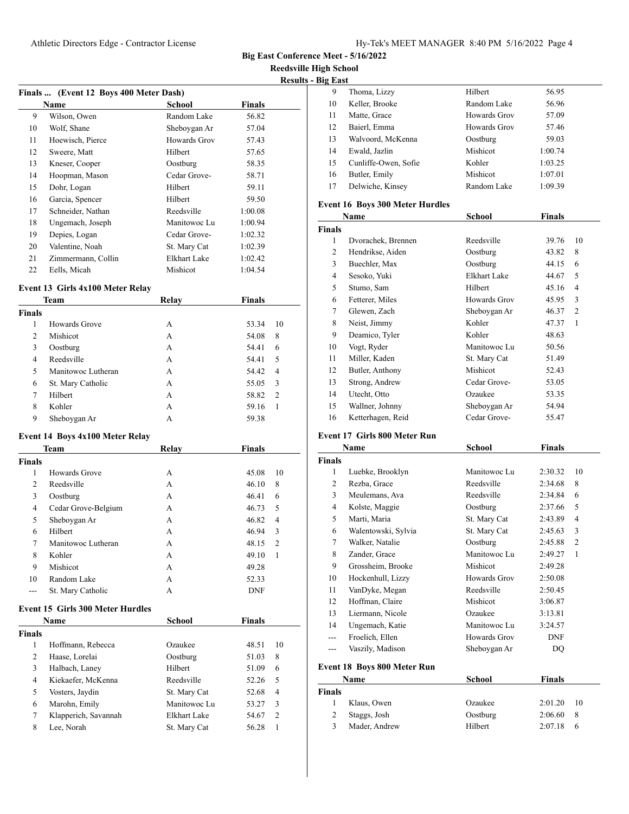**Reedsville High School**

| Finals  (Event 12 Boys 400 Meter Dash) |                    |              |               |
|----------------------------------------|--------------------|--------------|---------------|
|                                        | <b>Name</b>        | School       | <b>Finals</b> |
| 9                                      | Wilson, Owen       | Random Lake  | 56.82         |
| 10                                     | Wolf, Shane        | Sheboygan Ar | 57.04         |
| 11                                     | Hoewisch, Pierce   | Howards Grov | 57.43         |
| 12                                     | Sweere, Matt       | Hilbert      | 57.65         |
| 13                                     | Kneser, Cooper     | Oostburg     | 58.35         |
| 14                                     | Hoopman, Mason     | Cedar Grove- | 58.71         |
| 15                                     | Dohr, Logan        | Hilbert      | 59.11         |
| 16                                     | Garcia, Spencer    | Hilbert      | 59.50         |
| 17                                     | Schneider, Nathan  | Reedsville   | 1:00.08       |
| 18                                     | Ungemach, Joseph   | Manitowoc Lu | 1:00.94       |
| 19                                     | Depies, Logan      | Cedar Grove- | 1:02.32       |
| 20                                     | Valentine, Noah    | St. Mary Cat | 1:02.39       |
| 21                                     | Zimmermann, Collin | Elkhart Lake | 1:02.42       |
| 22                                     | Eells, Micah       | Mishicot     | 1:04.54       |

## **Event 13 Girls 4x100 Meter Relay**

| <b>Team</b>   |                    | Relay | Finals                  |  |
|---------------|--------------------|-------|-------------------------|--|
| <b>Finals</b> |                    |       |                         |  |
| 1             | Howards Grove      | А     | 53.34<br>10             |  |
| 2             | Mishicot           | А     | 8<br>54.08              |  |
| 3             | Oostburg           | А     | 54.41<br>6              |  |
| 4             | Reedsville         | А     | 5<br>54.41              |  |
| 5             | Manitowoc Lutheran | А     | 54.42<br>$\overline{4}$ |  |
| 6             | St. Mary Catholic  | А     | 55.05<br>3              |  |
| 7             | Hilbert            | А     | 58.82<br>$\overline{2}$ |  |
| 8             | Kohler             | А     | 59.16                   |  |
| 9             | Sheboygan Ar       | А     | 59.38                   |  |

#### **Event 14 Boys 4x100 Meter Relay**

|                | <b>Team</b>                             | Relay               | <b>Finals</b> |                |
|----------------|-----------------------------------------|---------------------|---------------|----------------|
| Finals         |                                         |                     |               |                |
| 1              | Howards Grove                           | A                   | 45.08         | 10             |
| $\overline{2}$ | Reedsville                              | A                   | 46.10         | 8              |
| 3              | Oostburg                                | A                   | 46.41         | 6              |
| 4              | Cedar Grove-Belgium                     | A                   | 46.73         | 5              |
| 5              | Sheboygan Ar                            | A                   | 46.82         | $\overline{4}$ |
| 6              | Hilbert                                 | A                   | 46.94         | 3              |
| 7              | Manitowoc Lutheran                      | A                   | 48.15         | $\overline{c}$ |
| 8              | Kohler                                  | A                   | 49.10         | $\mathbf{1}$   |
| 9              | Mishicot                                | A                   | 49.28         |                |
| 10             | Random Lake                             | A                   | 52.33         |                |
|                | St. Mary Catholic                       | A                   | <b>DNF</b>    |                |
|                | <b>Event 15 Girls 300 Meter Hurdles</b> |                     |               |                |
|                | Name                                    | <b>School</b>       | <b>Finals</b> |                |
| Finals         |                                         |                     |               |                |
| 1              | Hoffmann, Rebecca                       | Ozaukee             | 48.51         | 10             |
| 2              | Haase, Lorelai                          | Oostburg            | 51.03         | 8              |
| 3              | Halbach, Laney                          | Hilbert             | 51.09         | 6              |
| 4              | Kiekaefer, McKenna                      | Reedsville          | 52.26         | 5              |
| 5              | Vosters, Jaydin                         | St. Mary Cat        | 52.68         | $\overline{4}$ |
| 6              | Marohn, Emily                           | Manitowoc Lu        | 53.27         | 3              |
| 7              | Klapperich, Savannah                    | <b>Elkhart Lake</b> | 54.67         | $\overline{2}$ |
| 8              | Lee. Norah                              | St. Mary Cat        | 56.28         | 1              |

| Ig last |                      |              |         |  |
|---------|----------------------|--------------|---------|--|
| 9       | Thoma, Lizzy         | Hilbert      | 56.95   |  |
| 10      | Keller, Brooke       | Random Lake  | 56.96   |  |
| 11      | Matte, Grace         | Howards Grov | 57.09   |  |
| 12      | Baierl, Emma         | Howards Grov | 57.46   |  |
| 13      | Walvoord, McKenna    | Oostburg     | 59.03   |  |
| 14      | Ewald, Jazlin        | Mishicot     | 1:00.74 |  |
| 15      | Cunliffe-Owen, Sofie | Kohler       | 1:03.25 |  |
| 16      | Butler, Emily        | Mishicot     | 1:07.01 |  |
| 17      | Delwiche, Kinsey     | Random Lake  | 1:09.39 |  |
|         |                      |              |         |  |

## **Event 16 Boys 300 Meter Hurdles**

| Name          |                    | <b>School</b> | Finals |                |
|---------------|--------------------|---------------|--------|----------------|
| <b>Finals</b> |                    |               |        |                |
| 1             | Dvorachek, Brennen | Reedsville    | 39.76  | 10             |
| 2             | Hendrikse, Aiden   | Oostburg      | 43.82  | 8              |
| 3             | Buechler, Max      | Oostburg      | 44.15  | 6              |
| 4             | Sesoko, Yuki       | Elkhart Lake  | 44.67  | 5              |
| 5             | Stumo, Sam         | Hilbert       | 45.16  | 4              |
| 6             | Fetterer, Miles    | Howards Grov  | 45.95  | 3              |
| 7             | Glewen, Zach       | Sheboygan Ar  | 46.37  | $\overline{c}$ |
| 8             | Neist, Jimmy       | Kohler        | 47.37  | 1              |
| 9             | Deamico, Tyler     | Kohler        | 48.63  |                |
| 10            | Vogt, Ryder        | Manitowoc Lu  | 50.56  |                |
| 11            | Miller, Kaden      | St. Mary Cat  | 51.49  |                |
| 12            | Butler, Anthony    | Mishicot      | 52.43  |                |
| 13            | Strong, Andrew     | Cedar Grove-  | 53.05  |                |
| 14            | Utecht, Otto       | Ozaukee       | 53.35  |                |
| 15            | Wallner, Johnny    | Sheboygan Ar  | 54.94  |                |
| 16            | Ketterhagen, Reid  | Cedar Grove-  | 55.47  |                |

## **Event 17 Girls 800 Meter Run**

|               | Name                        | School       | Finals        |                |
|---------------|-----------------------------|--------------|---------------|----------------|
| <b>Finals</b> |                             |              |               |                |
| 1             | Luebke, Brooklyn            | Manitowoc Lu | 2:30.32       | 10             |
| 2             | Rezba, Grace                | Reedsville   | 2:34.68       | 8              |
| 3             | Meulemans, Ava              | Reedsville   | 2:34.84       | 6              |
| 4             | Kolste, Maggie              | Oostburg     | 2:37.66       | 5              |
| 5             | Marti, Maria                | St. Mary Cat | 2:43.89       | 4              |
| 6             | Walentowski, Sylvia         | St. Mary Cat | 2:45.63       | 3              |
| 7             | Walker, Natalie             | Oostburg     | 2:45.88       | $\overline{2}$ |
| 8             | Zander, Grace               | Manitowoc Lu | 2:49.27       | 1              |
| 9             | Grossheim, Brooke           | Mishicot     | 2:49.28       |                |
| 10            | Hockenhull, Lizzy           | Howards Grov | 2:50.08       |                |
| 11            | VanDyke, Megan              | Reedsville   | 2:50.45       |                |
| 12            | Hoffman, Claire             | Mishicot     | 3:06.87       |                |
| 13            | Liermann, Nicole            | Ozaukee      | 3:13.81       |                |
| 14            | Ungemach, Katie             | Manitowoc Lu | 3:24.57       |                |
|               | Froelich, Ellen             | Howards Grov | <b>DNF</b>    |                |
| ---           | Vaszily, Madison            | Sheboygan Ar | DQ            |                |
|               | Event 18 Boys 800 Meter Run |              |               |                |
|               | Name                        | School       | <b>Finals</b> |                |
| <b>Finals</b> |                             |              |               |                |
|               | Klaus, Owen                 | Ozaukee      | 2:01.20       | 10             |

 Staggs, Josh Oostburg 2:06.60 8 Mader, Andrew Hilbert 2:07.18 6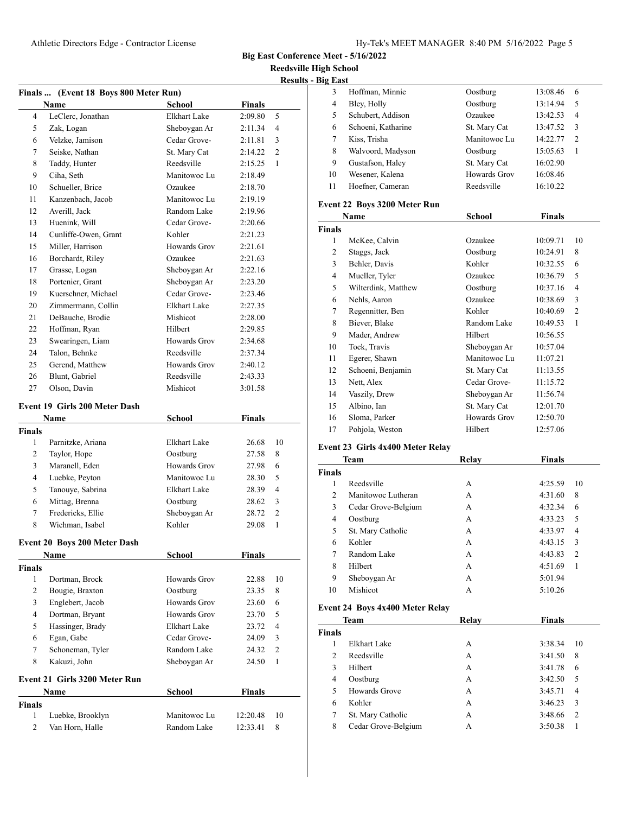**Big East Conference Meet - 5/16/2022**

**Refshing School Results - Big East**

|                |                                       |              |               | <b>Reedsville High</b> |                      |
|----------------|---------------------------------------|--------------|---------------|------------------------|----------------------|
|                |                                       |              |               |                        | <b>Results - Big</b> |
|                | Finals  (Event 18 Boys 800 Meter Run) |              |               |                        |                      |
|                | Name                                  | School       | <b>Finals</b> |                        |                      |
| $\overline{4}$ | LeClerc, Jonathan                     | Elkhart Lake | 2:09.80       | 5                      |                      |
| 5              | Zak, Logan                            | Sheboygan Ar | 2:11.34       | $\overline{4}$         |                      |
| 6              | Velzke, Jamison                       | Cedar Grove- | 2:11.81       | 3                      |                      |
| 7              | Seiske, Nathan                        | St. Mary Cat | 2:14.22       | 2                      |                      |
| 8              | Taddy, Hunter                         | Reedsville   | 2:15.25       | $\mathbf{1}$           |                      |
| 9              | Ciha, Seth                            | Manitowoc Lu | 2:18.49       |                        |                      |
| 10             | Schueller, Brice                      | Ozaukee      | 2:18.70       |                        |                      |
| 11             | Kanzenbach, Jacob                     | Manitowoc Lu | 2:19.19       |                        | E٧                   |
| 12             | Averill, Jack                         | Random Lake  | 2:19.96       |                        |                      |
| 13             | Huenink, Will                         | Cedar Grove- | 2:20.66       |                        | Fi                   |
| 14             | Cunliffe-Owen, Grant                  | Kohler       | 2:21.23       |                        |                      |
| 15             | Miller, Harrison                      | Howards Grov | 2:21.61       |                        |                      |
| 16             | Borchardt, Riley                      | Ozaukee      | 2:21.63       |                        |                      |
| 17             | Grasse, Logan                         | Sheboygan Ar | 2:22.16       |                        |                      |
| 18             | Portenier, Grant                      | Sheboygan Ar | 2:23.20       |                        |                      |
| 19             | Kuerschner, Michael                   | Cedar Grove- | 2:23.46       |                        |                      |
| 20             | Zimmermann, Collin                    | Elkhart Lake | 2:27.35       |                        |                      |
| 21             | DeBauche, Brodie                      | Mishicot     | 2:28.00       |                        |                      |
| 22             | Hoffman, Ryan                         | Hilbert      | 2:29.85       |                        |                      |
| 23             | Swearingen, Liam                      | Howards Grov | 2:34.68       |                        |                      |
| 24             | Talon, Behnke                         | Reedsville   | 2:37.34       |                        |                      |
| 25             | Gerend, Matthew                       | Howards Grov | 2:40.12       |                        |                      |
| 26             | Blunt, Gabriel                        | Reedsville   | 2:43.33       |                        |                      |
| 27             | Olson, Davin                          | Mishicot     | 3:01.58       |                        |                      |

#### **Event 19 Girls 200 Meter Dash**

| Name   |                   | <b>School</b> | <b>Finals</b> |               |  |
|--------|-------------------|---------------|---------------|---------------|--|
| Finals |                   |               |               |               |  |
| 1      | Parnitzke, Ariana | Elkhart Lake  | 26.68         | 10            |  |
| 2      | Taylor, Hope      | Oostburg      | 27.58         | 8             |  |
| 3      | Maranell, Eden    | Howards Grov  | 27.98         | 6             |  |
| 4      | Luebke, Peyton    | Manitowoc Lu  | 28.30         | .5            |  |
| 5      | Tanouye, Sabrina  | Elkhart Lake  | 28.39         | 4             |  |
| 6      | Mittag, Brenna    | Oostburg      | 28.62         | 3             |  |
| 7      | Fredericks, Ellie | Sheboygan Ar  | 28.72         | $\mathcal{D}$ |  |
| 8      | Wichman, Isabel   | Kohler        | 29.08         |               |  |

#### **Event 20 Boys 200 Meter Dash**

|               | Name                          | <b>School</b> | <b>Finals</b> |                |
|---------------|-------------------------------|---------------|---------------|----------------|
| <b>Finals</b> |                               |               |               |                |
| 1             | Dortman, Brock                | Howards Grov  | 22.88         | 10             |
| 2             | Bougie, Braxton               | Oostburg      | 23.35         | 8              |
| 3             | Englebert, Jacob              | Howards Grov  | 23.60         | 6              |
| 4             | Dortman, Bryant               | Howards Grov  | 23.70         | 5              |
| 5             | Hassinger, Brady              | Elkhart Lake  | 23.72         | $\overline{4}$ |
| 6             | Egan, Gabe                    | Cedar Grove-  | 24.09         | 3              |
| 7             | Schoneman, Tyler              | Random Lake   | 24.32         | $\overline{2}$ |
| 8             | Kakuzi, John                  | Sheboygan Ar  | 24.50         | 1              |
|               | Event 21 Girls 3200 Meter Run |               |               |                |
|               | Name                          | School        | <b>Finals</b> |                |
| <b>Finals</b> |                               |               |               |                |
| 1             | Luebke, Brooklyn              | Manitowoc Lu  | 12:20.48      | 10             |
| 2             | Van Horn, Halle               | Random Lake   | 12:33.41      | 8              |

| l2 last |                    |              |          |                |  |
|---------|--------------------|--------------|----------|----------------|--|
| 3       | Hoffman, Minnie    | Oostburg     | 13:08.46 | 6              |  |
| 4       | Bley, Holly        | Oostburg     | 13:14.94 | 5              |  |
| 5       | Schubert, Addison  | Ozaukee      | 13:42.53 | 4              |  |
| 6       | Schoeni, Katharine | St. Mary Cat | 13:47.52 | 3              |  |
| 7       | Kiss, Trisha       | Manitowoc Lu | 14:22.77 | $\mathfrak{D}$ |  |
| 8       | Walvoord, Madyson  | Oostburg     | 15:05.63 |                |  |
| 9       | Gustafson, Haley   | St. Mary Cat | 16:02.90 |                |  |
| 10      | Wesener, Kalena    | Howards Grov | 16:08.46 |                |  |
| 11      | Hoefner, Cameran   | Reedsville   | 16:10.22 |                |  |
|         |                    |              |          |                |  |

## **Event 22 Boys 3200 Meter Run**

|        | Name                | <b>School</b> | Finals   |                |
|--------|---------------------|---------------|----------|----------------|
| Finals |                     |               |          |                |
| 1      | McKee, Calvin       | Ozaukee       | 10:09.71 | 10             |
| 2      | Staggs, Jack        | Oostburg      | 10:24.91 | 8              |
| 3      | Behler, Davis       | Kohler        | 10:32.55 | 6              |
| 4      | Mueller, Tyler      | Ozaukee       | 10:36.79 | 5              |
| 5      | Wilterdink, Matthew | Oostburg      | 10:37.16 | 4              |
| 6      | Nehls, Aaron        | Ozaukee       | 10:38.69 | 3              |
| 7      | Regennitter, Ben    | Kohler        | 10:40.69 | $\overline{2}$ |
| 8      | Biever, Blake       | Random Lake   | 10:49.53 | 1              |
| 9      | Mader, Andrew       | Hilbert       | 10:56.55 |                |
| 10     | Tock, Travis        | Sheboygan Ar  | 10:57.04 |                |
| 11     | Egerer, Shawn       | Manitowoc Lu  | 11:07.21 |                |
| 12     | Schoeni, Benjamin   | St. Mary Cat  | 11:13.55 |                |
| 13     | Nett, Alex          | Cedar Grove-  | 11:15.72 |                |
| 14     | Vaszily, Drew       | Sheboygan Ar  | 11:56.74 |                |
| 15     | Albino, Ian         | St. Mary Cat  | 12:01.70 |                |
| 16     | Sloma, Parker       | Howards Grov  | 12:50.70 |                |
| 17     | Pohjola, Weston     | Hilbert       | 12:57.06 |                |

#### **Event 23 Girls 4x400 Meter Relay**

| <b>Team</b>    |                     | Relay | <b>Finals</b> |                |
|----------------|---------------------|-------|---------------|----------------|
| <b>Finals</b>  |                     |       |               |                |
| 1              | Reedsville          | A     | 4:25.59       | 10             |
| $\overline{c}$ | Manitowoc Lutheran  | А     | 4:31.60       | 8              |
| 3              | Cedar Grove-Belgium | A     | 4:32.34       | 6              |
| $\overline{4}$ | Oostburg            | A     | 4:33.23       | 5              |
| 5              | St. Mary Catholic   | A     | 4:33.97       | 4              |
| 6              | Kohler              | A     | 4:43.15       | 3              |
| 7              | Random Lake         | A     | 4:43.83       | $\overline{2}$ |
| 8              | Hilbert             | A     | 4:51.69       | 1              |
| 9              | Sheboygan Ar        | А     | 5:01.94       |                |
| 10             | Mishicot            | А     | 5:10.26       |                |
|                |                     |       |               |                |

#### **Event 24 Boys 4x400 Meter Relay**

|                | <b>Team</b>         | Relav | <b>Finals</b>             |  |
|----------------|---------------------|-------|---------------------------|--|
| <b>Finals</b>  |                     |       |                           |  |
|                | Elkhart Lake        | А     | 3:38.34<br>10             |  |
| $\mathfrak{D}$ | Reedsville          | А     | 3:41.50<br>8              |  |
| 3              | Hilbert             | А     | 3:41.78<br>6              |  |
| 4              | Oostburg            | А     | 3:42.50<br>5              |  |
| 5              | Howards Grove       | А     | 3:45.71<br>4              |  |
| 6              | Kohler              | A     | 3:46.23<br>3              |  |
| 7              | St. Mary Catholic   | А     | 3:48.66<br>$\overline{2}$ |  |
| 8              | Cedar Grove-Belgium | А     | 3:50.38                   |  |
|                |                     |       |                           |  |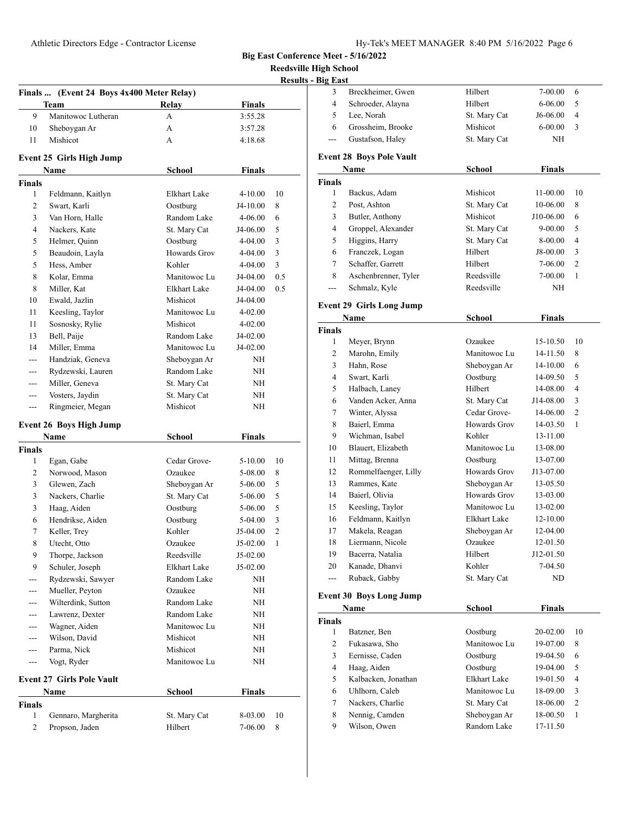**Reedsville High School**

| <b>Results - Big East</b> |  |  |
|---------------------------|--|--|
|                           |  |  |

|                |                                                   |                     |               | <u>kesuits -</u> |
|----------------|---------------------------------------------------|---------------------|---------------|------------------|
|                | Finals  (Event 24 Boys 4x400 Meter Relay)<br>Team | Relay               | <b>Finals</b> |                  |
| 9              | Manitowoc Lutheran                                | A                   | 3:55.28       |                  |
| 10             | Sheboygan Ar                                      | A                   | 3:57.28       |                  |
| 11             | Mishicot                                          | A                   | 4:18.68       |                  |
|                |                                                   |                     |               |                  |
|                | <b>Event 25 Girls High Jump</b>                   |                     |               |                  |
|                | Name                                              | <b>School</b>       | <b>Finals</b> |                  |
| <b>Finals</b>  |                                                   |                     |               |                  |
| 1              | Feldmann, Kaitlyn                                 | Elkhart Lake        | 4-10.00       | 10               |
| $\overline{2}$ | Swart, Karli                                      | Oostburg            | J4-10.00      | 8                |
| 3              | Van Horn, Halle                                   | Random Lake         | 4-06.00       | 6                |
| 4              | Nackers, Kate                                     | St. Mary Cat        | J4-06.00      | 5                |
| 5              | Helmer, Quinn                                     | Oostburg            | 4-04.00       | 3                |
| 5              | Beaudoin, Layla                                   | <b>Howards Grov</b> | 4-04.00       | 3                |
| 5              | Hess, Amber                                       | Kohler              | 4-04.00       | $\mathfrak{Z}$   |
| 8              | Kolar, Emma                                       | Manitowoc Lu        | J4-04.00      | 0.5              |
| 8              | Miller, Kat                                       | <b>Elkhart Lake</b> | J4-04.00      | 0.5              |
| 10             | Ewald, Jazlin                                     | Mishicot            | J4-04.00      |                  |
| 11             | Keesling, Taylor                                  | Manitowoc Lu        | 4-02.00       |                  |
| 11             | Sosnosky, Rylie                                   | Mishicot            | 4-02.00       |                  |
| 13             | Bell, Paije                                       | Random Lake         | J4-02.00      |                  |
| 14             | Miller, Emma                                      | Manitowoc Lu        | J4-02.00      |                  |
| $---$          | Handziak, Geneva                                  | Sheboygan Ar        | NH            |                  |
| $---$          | Rydzewski, Lauren                                 | Random Lake         | NH            |                  |
| ---            | Miller, Geneva                                    | St. Mary Cat        | NH            |                  |
| ---            | Vosters, Jaydin                                   | St. Mary Cat        | NH            |                  |
| $---$          | Ringmeier, Megan                                  | Mishicot            | NH            |                  |
|                | <b>Event 26 Boys High Jump</b>                    |                     |               |                  |
|                | Name                                              | <b>School</b>       | <b>Finals</b> |                  |
| <b>Finals</b>  |                                                   |                     |               |                  |
| 1              | Egan, Gabe                                        | Cedar Grove-        | 5-10.00       | 10               |
| $\overline{c}$ | Norwood, Mason                                    | Ozaukee             | 5-08.00       | 8                |
| 3              | Glewen, Zach                                      | Sheboygan Ar        | 5-06.00       | 5                |
| 3              | Nackers, Charlie                                  | St. Mary Cat        | 5-06.00       | 5                |
| 3              | Haag, Aiden                                       | Oostburg            | 5-06.00       | 5                |
| 6              | Hendrikse, Aiden                                  | Oostburg            | 5-04.00       | 3                |
| 7              | Keller, Trey                                      | Kohler              | J5-04.00      | $\overline{2}$   |
| 8              | Utecht, Otto                                      | Ozaukee             | J5-02.00      | 1                |
| 9              | Thorpe, Jackson                                   | Reedsville          | J5-02.00      |                  |
| 9              | Schuler, Joseph                                   | Elkhart Lake        | J5-02.00      |                  |
|                | Rydzewski, Sawyer                                 | Random Lake         | NΗ            |                  |
|                | Mueller, Peyton                                   | Ozaukee             | NH            |                  |
|                | Wilterdink, Sutton                                | Random Lake         | NΗ            |                  |
| ---            | Lawrenz, Dexter                                   | Random Lake         | NΗ            |                  |
|                | Wagner, Aiden                                     | Manitowoc Lu        | ΝH            |                  |
| $---$          | Wilson, David                                     | Mishicot            | ΝH            |                  |
| ---            | Parma, Nick                                       | Mishicot            | NΗ            |                  |
| ---            | Vogt, Ryder                                       | Manitowoc Lu        | NΗ            |                  |
|                | <b>Event 27 Girls Pole Vault</b>                  |                     |               |                  |
|                | Name                                              | School              | <b>Finals</b> |                  |
| Finals         |                                                   |                     |               |                  |
| 1              | Gennaro, Margherita                               | St. Mary Cat        | 8-03.00       | 10               |
| $\overline{c}$ | Propson, Jaden                                    | Hilbert             | 7-06.00       | 8                |
|                |                                                   |                     |               |                  |

| g East |                   |              |             |   |  |
|--------|-------------------|--------------|-------------|---|--|
|        | Breckheimer, Gwen | Hilbert      | 7-00.00     | 6 |  |
| 4      | Schroeder, Alayna | Hilbert      | $6 - 06.00$ | 5 |  |
|        | Lee, Norah        | St. Mary Cat | J6-06.00    | 4 |  |
| 6      | Grossheim, Brooke | Mishicot     | $6-00.00$   | 3 |  |
|        | Gustafson, Haley  | St. Mary Cat | NH          |   |  |
|        |                   |              |             |   |  |

## **Event 28 Boys Pole Vault**

|               | Name                            | <b>School</b> | <b>Finals</b> |                |
|---------------|---------------------------------|---------------|---------------|----------------|
| <b>Finals</b> |                                 |               |               |                |
| 1             | Backus, Adam                    | Mishicot      | 11-00.00      | 10             |
| 2             | Post, Ashton                    | St. Mary Cat  | 10-06.00      | 8              |
| 3             | Butler, Anthony                 | Mishicot      | J10-06.00     | 6              |
| 4             | Groppel, Alexander              | St. Mary Cat  | $9 - 00.00$   | 5              |
| 5             | Higgins, Harry                  | St. Mary Cat  | 8-00.00       | 4              |
| 6             | Franczek, Logan                 | Hilbert       | J8-00.00      | 3              |
| 7             | Schaffer, Garrett               | Hilbert       | 7-06.00       | $\overline{2}$ |
| 8             | Aschenbrenner, Tyler            | Reedsville    | 7-00.00       | 1              |
| ---           | Schmalz, Kyle                   | Reedsville    | NΗ            |                |
|               | <b>Event 29 Girls Long Jump</b> |               |               |                |
|               | <b>Name</b>                     | <b>School</b> | <b>Finals</b> |                |
| <b>Finals</b> |                                 |               |               |                |
| 1             | Meyer, Brynn                    | Ozaukee       | 15-10.50      | 10             |
| 2             | Marohn, Emily                   | Manitowoc Lu  | 14-11.50      | 8              |
| 3             | Hahn, Rose                      | Sheboygan Ar  | 14-10.00      | 6              |
| 4             | Swart, Karli                    | Oostburg      | 14-09.50      | 5              |
| 5             | Halbach, Laney                  | Hilbert       | 14-08.00      | 4              |
| 6             | Vanden Acker, Anna              | St. Mary Cat  | J14-08.00     | 3              |
| 7             | Winter, Alyssa                  | Cedar Grove-  | 14-06.00      | $\overline{2}$ |
| 8             | Baierl, Emma                    | Howards Grov  | 14-03.50      | 1              |
| 9             | Wichman, Isabel                 | Kohler        | 13-11.00      |                |
| 10            | Blauert, Elizabeth              | Manitowoc Lu  | 13-08.00      |                |
| 11            | Mittag, Brenna                  | Oostburg      | 13-07.00      |                |
| 12            | Rommelfaenger, Lilly            | Howards Grov  | J13-07.00     |                |
| 13            | Rammes, Kate                    | Sheboygan Ar  | 13-05.50      |                |
| 14            | Baierl, Olivia                  | Howards Grov  | 13-03.00      |                |
| 15            | Keesling, Taylor                | Manitowoc Lu  | 13-02.00      |                |
| 16            | Feldmann, Kaitlyn               | Elkhart Lake  | 12-10.00      |                |
| 17            | Makela, Reagan                  | Sheboygan Ar  | 12-04.00      |                |
| 18            | Liermann, Nicole                | Ozaukee       | 12-01.50      |                |
| 19            | Bacerra, Natalia                | Hilbert       | $J12-01.50$   |                |
| 20            | Kanade, Dhanvi                  | Kohler        | 7-04.50       |                |
| $---$         | Ruback, Gabby                   | St. Mary Cat  | ND            |                |

# **Event 30 Boys Long Jump**

|               | Name                | School       | Finals       |                |
|---------------|---------------------|--------------|--------------|----------------|
| <b>Finals</b> |                     |              |              |                |
| 1             | Batzner, Ben        | Oostburg     | $20 - 02.00$ | 10             |
| 2             | Fukasawa, Sho       | Manitowoc Lu | 19-07.00     | 8              |
| 3             | Eernisse, Caden     | Oostburg     | 19-04.50     | 6              |
| 4             | Haag, Aiden         | Oostburg     | 19-04.00     | 5              |
| 5             | Kalbacken, Jonathan | Elkhart Lake | 19-01.50     | 4              |
| 6             | Uhlhorn, Caleb      | Manitowoc Lu | 18-09.00     | 3              |
| 7             | Nackers, Charlie    | St. Mary Cat | 18-06.00     | $\overline{c}$ |
| 8             | Nennig, Camden      | Sheboygan Ar | 18-00.50     | 1              |
| 9             | Wilson. Owen        | Random Lake  | 17-11.50     |                |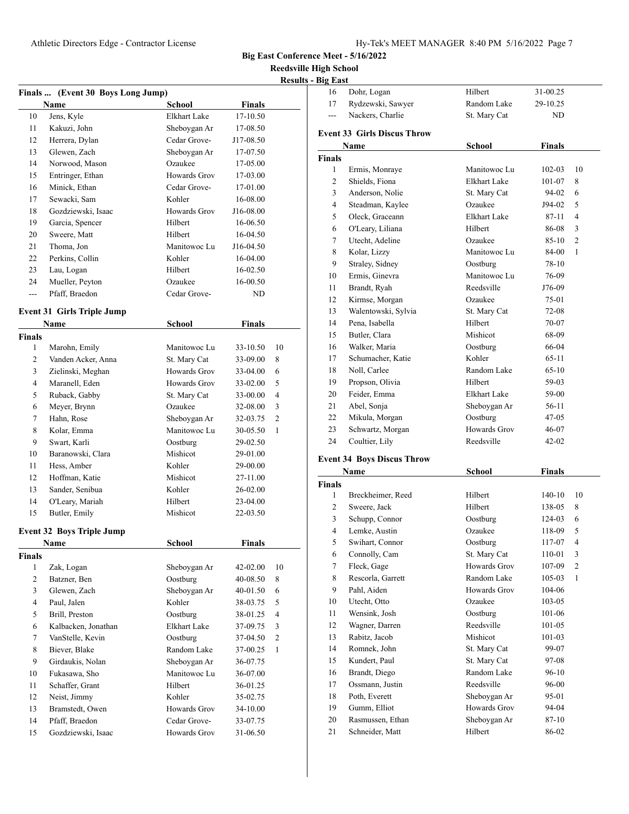16 Dohr, Logan Hilbert 31-00.25

**Big East Conference Meet - 5/16/2022**

**Reedsville High School Results - Big East** 

|                |                                   |               |               | <b>Result</b>  |
|----------------|-----------------------------------|---------------|---------------|----------------|
|                | Finals  (Event 30 Boys Long Jump) |               |               |                |
|                | Name                              | School        | <b>Finals</b> |                |
| 10             | Jens, Kyle                        | Elkhart Lake  | 17-10.50      |                |
| 11             | Kakuzi, John                      | Sheboygan Ar  | 17-08.50      |                |
| 12             | Herrera, Dylan                    | Cedar Grove-  | J17-08.50     |                |
| 13             | Glewen, Zach                      | Sheboygan Ar  | 17-07.50      |                |
| 14             | Norwood, Mason                    | Ozaukee       | 17-05.00      |                |
| 15             | Entringer, Ethan                  | Howards Grov  | 17-03.00      |                |
| 16             | Minick, Ethan                     | Cedar Grove-  | 17-01.00      |                |
| 17             | Sewacki, Sam                      | Kohler        | 16-08.00      |                |
| 18             | Gozdziewski, Isaac                | Howards Grov  | J16-08.00     |                |
| 19             | Garcia, Spencer                   | Hilbert       | 16-06.50      |                |
| 20             | Sweere, Matt                      | Hilbert       | 16-04.50      |                |
| 21             | Thoma, Jon                        | Manitowoc Lu  | J16-04.50     |                |
| 22             | Perkins, Collin                   | Kohler        | 16-04.00      |                |
| 23             | Lau, Logan                        | Hilbert       | 16-02.50      |                |
| 24             | Mueller, Peyton                   | Ozaukee       | 16-00.50      |                |
| ---            | Pfaff, Braedon                    | Cedar Grove-  | ND            |                |
|                | <b>Event 31 Girls Triple Jump</b> |               |               |                |
|                | Name                              | <b>School</b> | Finals        |                |
| <b>Finals</b>  |                                   |               |               |                |
| 1              | Marohn, Emily                     | Manitowoc Lu  | 33-10.50      | 10             |
| 2              | Vanden Acker, Anna                | St. Mary Cat  | 33-09.00      | 8              |
| 3              | Zielinski, Meghan                 | Howards Grov  | 33-04.00      | 6              |
| $\overline{4}$ | Maranell, Eden                    | Howards Grov  | 33-02.00      | 5              |
| 5              | Ruback, Gabby                     | St. Mary Cat  | 33-00.00      | $\overline{4}$ |
| 6              | Meyer, Brynn                      | Ozaukee       | 32-08.00      | 3              |
| 7              | Hahn, Rose                        | Sheboygan Ar  | 32-03.75      | $\overline{c}$ |
| 8              | Kolar, Emma                       | Manitowoc Lu  | 30-05.50      | $\mathbf{1}$   |
| 9              | Swart, Karli                      | Oostburg      | 29-02.50      |                |
| 10             | Baranowski, Clara                 | Mishicot      | 29-01.00      |                |
| 11             | Hess, Amber                       | Kohler        | 29-00.00      |                |
| 12             | Hoffman, Katie                    | Mishicot      | 27-11.00      |                |
| 13             | Sander, Senibua                   | Kohler        | 26-02.00      |                |
| 14             | O'Leary, Mariah                   | Hilbert       | 23-04.00      |                |
| 15             | Butler, Emily                     | Mishicot      | 22-03.50      |                |
|                | <b>Event 32 Boys Triple Jump</b>  |               |               |                |
|                | <b>Name</b>                       | <b>School</b> | <b>Finals</b> |                |
| <b>Finals</b>  |                                   |               |               |                |
| $\mathbf{1}$   | Zak, Logan                        | Sheboygan Ar  | 42-02.00      | 10             |
| $\overline{c}$ | Batzner, Ben                      | Oostburg      | 40-08.50      | 8              |
| 3              | Glewen, Zach                      | Sheboygan Ar  | 40-01.50      | 6              |
| $\overline{4}$ | Paul, Jalen                       | Kohler        | 38-03.75      | 5              |
| 5              | Brill, Preston                    | Oostburg      | 38-01.25      | 4              |
| 6              | Kalbacken, Jonathan               | Elkhart Lake  | 37-09.75      | 3              |
| 7              | VanStelle, Kevin                  | Oostburg      | 37-04.50      | 2              |
| 8              | Biever, Blake                     | Random Lake   | 37-00.25      | 1              |
| 9              | Girdaukis, Nolan                  | Sheboygan Ar  | 36-07.75      |                |
| 10             | Fukasawa, Sho                     | Manitowoc Lu  | 36-07.00      |                |
| 11             | Schaffer, Grant                   | Hilbert       | 36-01.25      |                |
| 12             | Neist, Jimmy                      | Kohler        | 35-02.75      |                |
| 13             | Bramstedt, Owen                   | Howards Grov  | 34-10.00      |                |
| 14             | Pfaff, Braedon                    | Cedar Grove-  | 33-07.75      |                |
| 15             | Gozdziewski, Isaac                | Howards Grov  | 31-06.50      |                |
|                |                                   |               |               |                |

| 17                 | Rydzewski, Sawyer                  | Random Lake              | 29-10.25        |                |
|--------------------|------------------------------------|--------------------------|-----------------|----------------|
| ---                | Nackers, Charlie                   | St. Mary Cat             | ND              |                |
|                    | <b>Event 33 Girls Discus Throw</b> |                          |                 |                |
|                    |                                    |                          |                 |                |
|                    | Name                               | School                   | Finals          |                |
| <b>Finals</b><br>1 |                                    | Manitowoc Lu             | $102 - 03$      | 10             |
| 2                  | Ermis, Monraye<br>Shields, Fiona   | <b>Elkhart Lake</b>      |                 |                |
| 3                  | Anderson, Nolie                    | St. Mary Cat             | 101-07<br>94-02 | 8<br>6         |
| 4                  | Steadman, Kaylee                   | Ozaukee                  | J94-02          | 5              |
|                    | Oleck, Graceann                    | <b>Elkhart Lake</b>      | 87-11           | 4              |
| 5<br>6             | O'Leary, Liliana                   | Hilbert                  | 86-08           | 3              |
| 7                  | Utecht, Adeline                    | Ozaukee                  | 85-10           | $\overline{c}$ |
| 8                  | Kolar, Lizzy                       | Manitowoc Lu             |                 | 1              |
| 9                  |                                    |                          | 84-00<br>78-10  |                |
|                    | Straley, Sidney<br>Ermis, Ginevra  | Oostburg<br>Manitowoc Lu |                 |                |
| 10                 |                                    |                          | 76-09           |                |
| 11                 | Brandt, Ryah                       | Reedsville               | J76-09          |                |
| 12                 | Kirmse, Morgan                     | Ozaukee                  | 75-01           |                |
| 13                 | Walentowski, Sylvia                | St. Mary Cat<br>Hilbert  | 72-08           |                |
| 14                 | Pena, Isabella                     |                          | 70-07           |                |
| 15                 | Butler, Clara                      | Mishicot                 | 68-09           |                |
| 16                 | Walker, Maria                      | Oostburg                 | 66-04           |                |
| 17                 | Schumacher, Katie                  | Kohler                   | 65-11           |                |
| 18                 | Noll, Carlee                       | Random Lake              | $65-10$         |                |
| 19                 | Propson, Olivia                    | Hilbert                  | 59-03           |                |
| 20                 | Feider, Emma                       | Elkhart Lake             | 59-00           |                |
| 21                 | Abel, Sonja                        | Sheboygan Ar             | 56-11           |                |
| 22                 | Mikula, Morgan                     | Oostburg                 | 47-05           |                |
| 23                 | Schwartz, Morgan                   | <b>Howards Grov</b>      | 46-07           |                |
| 24                 | Coultier, Lily                     | Reedsville               | 42-02           |                |
|                    | <b>Event 34 Boys Discus Throw</b>  |                          |                 |                |
|                    | Name                               | <b>School</b>            | <b>Finals</b>   |                |
| <b>Finals</b>      |                                    |                          |                 |                |
| 1                  | Breckheimer, Reed                  | Hilbert                  | 140-10          | 10             |
| 2                  | Sweere, Jack                       | Hilbert                  | 138-05          | 8              |
| 3                  | Schupp, Connor                     | Oostburg                 | 124-03          | 6              |
| 4                  | Lemke, Austin                      | Ozaukee                  | 118-09          | 5              |
| 5                  | Swihart, Connor                    | Oostburg                 | 117-07          | 4              |
| 6                  | Connolly, Cam                      | St. Mary Cat             | 110-01          | 3              |
| 7                  | Fleck, Gage                        | Howards Grov             | 107-09          | 2              |
| 8                  | Rescorla, Garrett                  | Random Lake              | 105-03          | 1              |
| 9                  | Pahl, Aiden                        | Howards Grov             | 104-06          |                |
| 10                 | Utecht, Otto                       | Ozaukee                  | 103-05          |                |
| 11                 | Wensink, Josh                      | Oostburg                 | 101-06          |                |
| 12                 | Wagner, Darren                     | Reedsville               | 101-05          |                |
| 13                 | Rabitz, Jacob                      | Mishicot                 | 101-03          |                |
| 14                 | Romnek, John                       | St. Mary Cat             | 99-07           |                |
| 15                 | Kundert, Paul                      | St. Mary Cat             | 97-08           |                |
| 16                 | Brandt, Diego                      | Random Lake              | 96-10           |                |
| 17                 | Ossmann, Justin                    | Reedsville               | 96-00           |                |
| 18                 | Poth, Everett                      | Sheboygan Ar             | 95-01           |                |
| 19                 | Gumm, Elliot                       | Howards Grov             | 94-04           |                |
| 20                 | Rasmussen, Ethan                   | Sheboygan Ar             | 87-10           |                |

21 Schneider, Matt Hilbert 86-02